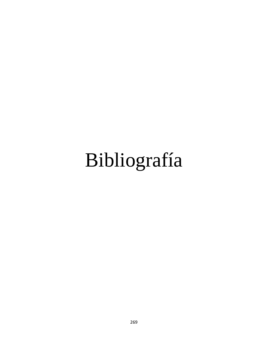# Bibliografía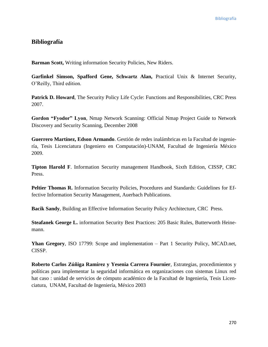## **Bibliografía**

**Barman Scott,** Writing information Security Policies, New Riders.

**Garfinkel Simson, Spafford Gene, Schwartz Alan,** Practical Unix & Internet Security, O'Reilly, Third edition.

Patrick D. Howard, The Security Policy Life Cycle: Functions and Responsibilities, CRC Press 2007.

**Gordon "Fyodor" Lyon**, Nmap Network Scanning: Official Nmap Project Guide to Network Discovery and Security Scanning, December 2008

**Guerrero Martínez, Edson Armando**. Gestión de redes inalámbricas en la Facultad de ingeniería, Tesis Licenciatura (Ingeniero en Computación)-UNAM, Facultad de Ingeniería México 2009.

**Tipton Harold F**. Information Security management Handbook, Sixth Edition, CISSP, CRC Press.

Peltier Thomas R. Information Security Policies, Procedures and Standards: Guidelines for Effective Information Security Management, Auerbach Publications.

**Bacik Sandy**, Building an Effective Information Security Policy Architecture, CRC Press.

**Steafanek George L.** information Security Best Practices: 205 Basic Rules, Butterworth Heinemann.

**Yhan Gregory**, ISO 17799: Scope and implementation – Part 1 Security Policy, MCAD.net, CISSP.

**Roberto Carlos Zúñiga Ramírez y Yesenia Carrera Fournier**, Estrategias, procedimientos y políticas para implementar la seguridad informática en organizaciones con sistemas Linux red hat caso : unidad de servicios de cómputo académico de la Facultad de Ingeniería, Tesis Licenciatura, UNAM, Facultad de Ingeniería, México 2003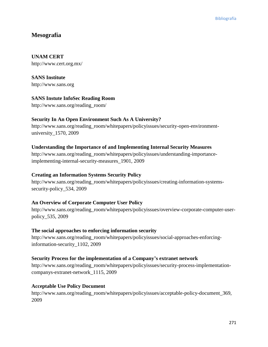## **Mesografía**

## **UNAM CERT**

http://www.cert.org.mx/

**SANS Institute** http://www.sans.org

## **SANS Instute InfoSec Reading Room**

http://www.sans.org/reading\_room/

## **Security In An Open Environment Such As A University?**

http://www.sans.org/reading\_room/whitepapers/policyissues/security-open-environmentuniversity\_1570, 2009

## **Understanding the Importance of and Implementing Internal Security Measures**

http://www.sans.org/reading\_room/whitepapers/policyissues/understanding-importanceimplementing-internal-security-measures\_1901, 2009

#### **Creating an Information Systems Security Policy**

http://www.sans.org/reading\_room/whitepapers/policyissues/creating-information-systemssecurity-policy\_534, 2009

#### **An Overview of Corporate Computer User Policy**

http://www.sans.org/reading\_room/whitepapers/policyissues/overview-corporate-computer-userpolicy\_535, 2009

#### **The social approaches to enforcing information security**

http://www.sans.org/reading\_room/whitepapers/policyissues/social-approaches-enforcinginformation-security\_1102, 2009

#### **Security Process for the implementation of a Company's extranet network**

http://www.sans.org/reading\_room/whitepapers/policyissues/security-process-implementationcompanys-extranet-network\_1115, 2009

#### **Acceptable Use Policy Document**

http://www.sans.org/reading\_room/whitepapers/policyissues/acceptable-policy-document\_369, 2009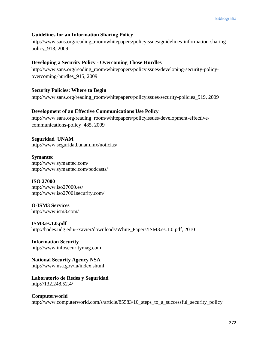#### **Guidelines for an Information Sharing Policy**

http://www.sans.org/reading\_room/whitepapers/policyissues/guidelines-information-sharingpolicy\_918, 2009

#### **Developing a Security Policy - Overcoming Those Hurdles**

http://www.sans.org/reading\_room/whitepapers/policyissues/developing-security-policyovercoming-hurdles\_915, 2009

#### **Security Policies: Where to Begin**

http://www.sans.org/reading\_room/whitepapers/policyissues/security-policies\_919, 2009

#### **Development of an Effective Communications Use Policy**

http://www.sans.org/reading\_room/whitepapers/policyissues/development-effectivecommunications-policy\_485, 2009

**Seguridad UNAM** http://www.seguridad.unam.mx/noticias/

**Symantec** http://www.symantec.com/ http://www.symantec.com/podcasts/

#### **ISO 27000**

http://www.iso27000.es/ http://www.iso27001security.com/

**O-ISM3 Services** http://www.ism3.com/

**ISM3.es.1.0.pdf** http://hades.udg.edu/~xavier/downloads/White\_Papers/ISM3.es.1.0.pdf, 2010

**Information Security** http://www.infosecuritymag.com

**National Security Agency NSA** http://www.nsa.gov/ia/index.shtml

**Laboratorio de Redes y Seguridad** http://132.248.52.4/

#### **Computerworld** http://www.computerworld.com/s/article/85583/10\_steps\_to\_a\_successful\_security\_policy